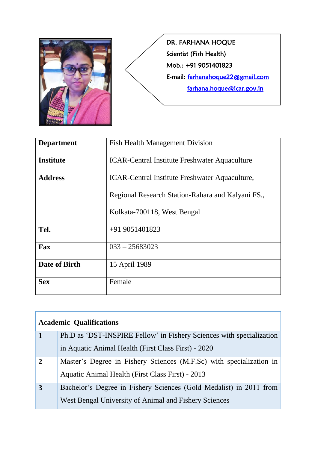

DR. FARHANA HOQUE Scientist (Fish Health) Mob.: +91 9051401823 E-mail: [farhanahoque22@gmail.com](mailto:farhanahoque22@gmail.com)  [farhana.hoque@icar.gov.in](mailto:farhana.hoque@icar.gov.in) 

| <b>Department</b> | <b>Fish Health Management Division</b>               |
|-------------------|------------------------------------------------------|
| <b>Institute</b>  | <b>ICAR-Central Institute Freshwater Aquaculture</b> |
| <b>Address</b>    | ICAR-Central Institute Freshwater Aquaculture,       |
|                   | Regional Research Station-Rahara and Kalyani FS.,    |
|                   | Kolkata-700118, West Bengal                          |
| Tel.              | $+919051401823$                                      |
| Fax               | $033 - 25683023$                                     |
| Date of Birth     | 15 April 1989                                        |
| <b>Sex</b>        | Female                                               |

| <b>Academic Qualifications</b> |                                                                      |  |
|--------------------------------|----------------------------------------------------------------------|--|
| 1                              | Ph.D as 'DST-INSPIRE Fellow' in Fishery Sciences with specialization |  |
|                                | in Aquatic Animal Health (First Class First) - 2020                  |  |
| $\overline{2}$                 | Master's Degree in Fishery Sciences (M.F.Sc) with specialization in  |  |
|                                | Aquatic Animal Health (First Class First) - 2013                     |  |
| 3                              | Bachelor's Degree in Fishery Sciences (Gold Medalist) in 2011 from   |  |
|                                | West Bengal University of Animal and Fishery Sciences                |  |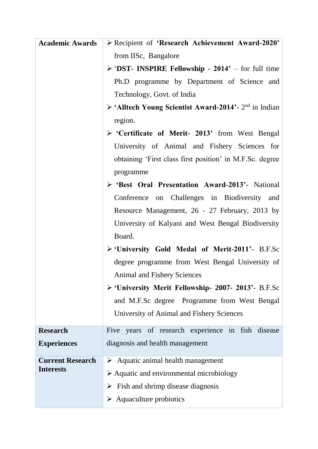| <b>Academic Awards</b>  | > Recipient of 'Research Achievement Award-2020'                                 |
|-------------------------|----------------------------------------------------------------------------------|
|                         | from IISc, Bangalore                                                             |
|                         | $\triangleright$ 'DST- INSPIRE Fellowship - 2014' – for full time                |
|                         | Ph.D programme by Department of Science and                                      |
|                         | Technology, Govt. of India                                                       |
|                         | $\triangleright$ 'Alltech Young Scientist Award-2014'- 2 <sup>nd</sup> in Indian |
|                         | region.                                                                          |
|                         | > 'Certificate of Merit- 2013' from West Bengal                                  |
|                         | University of Animal and Fishery Sciences for                                    |
|                         | obtaining 'First class first position' in M.F.Sc. degree                         |
|                         | programme                                                                        |
|                         | S 'Best Oral Presentation Award-2013'- National                                  |
|                         | Conference on Challenges in Biodiversity and                                     |
|                         | Resource Management, 26 - 27 February, 2013 by                                   |
|                         | University of Kalyani and West Bengal Biodiversity                               |
|                         | Board.                                                                           |
|                         | > 'University Gold Medal of Merit-2011'- B.F.Sc                                  |
|                         | degree programme from West Bengal University of                                  |
|                         | <b>Animal and Fishery Sciences</b>                                               |
|                         | > 'University Merit Fellowship- 2007- 2013'- B.F.Sc                              |
|                         | and M.F.Sc degree Programme from West Bengal                                     |
|                         | University of Animal and Fishery Sciences                                        |
| <b>Research</b>         | Five years of research experience in fish disease                                |
| <b>Experiences</b>      | diagnosis and health management                                                  |
| <b>Current Research</b> | $\triangleright$ Aquatic animal health management                                |
| <b>Interests</b>        | $\triangleright$ Aquatic and environmental microbiology                          |
|                         | $\triangleright$ Fish and shrimp disease diagnosis                               |
|                         | $\triangleright$ Aquaculture probiotics                                          |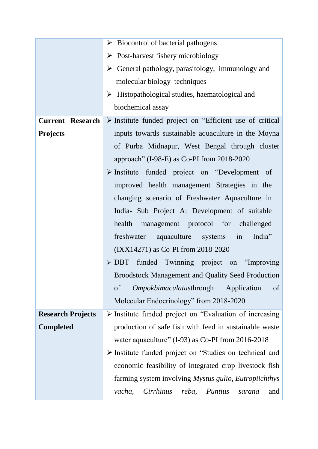|                          | $\triangleright$ Biocontrol of bacterial pathogens                       |
|--------------------------|--------------------------------------------------------------------------|
|                          | $\triangleright$ Post-harvest fishery microbiology                       |
|                          | $\triangleright$ General pathology, parasitology, immunology and         |
|                          | molecular biology techniques                                             |
|                          | $\triangleright$ Histopathological studies, haematological and           |
|                          | biochemical assay                                                        |
| <b>Current Research</b>  | $\triangleright$ Institute funded project on "Efficient use of critical" |
| <b>Projects</b>          | inputs towards sustainable aquaculture in the Moyna                      |
|                          | of Purba Midnapur, West Bengal through cluster                           |
|                          | approach" (I-98-E) as Co-PI from 2018-2020                               |
|                          | $\triangleright$ Institute funded project on "Development of             |
|                          | improved health management Strategies in the                             |
|                          | changing scenario of Freshwater Aquaculture in                           |
|                          | India- Sub Project A: Development of suitable                            |
|                          | health management protocol for challenged                                |
|                          | freshwater aquaculture systems in<br>India"                              |
|                          | (IXX14271) as Co-PI from 2018-2020                                       |
|                          | $\triangleright$ DBT funded Twinning project on "Improving               |
|                          | <b>Broodstock Management and Quality Seed Production</b>                 |
|                          | <i>Ompokbimaculatusthrough</i><br>of<br>Application<br>of                |
|                          | Molecular Endocrinology" from 2018-2020                                  |
| <b>Research Projects</b> | $\triangleright$ Institute funded project on "Evaluation of increasing   |
| <b>Completed</b>         | production of safe fish with feed in sustainable waste                   |
|                          | water aquaculture" (I-93) as Co-PI from 2016-2018                        |
|                          | $\triangleright$ Institute funded project on "Studies on technical and   |
|                          | economic feasibility of integrated crop livestock fish                   |
|                          | farming system involving Mystus gulio, Eutropiichthys                    |
|                          | Cirrhinus<br>Puntius<br>vacha,<br>reba,<br>and<br>sarana                 |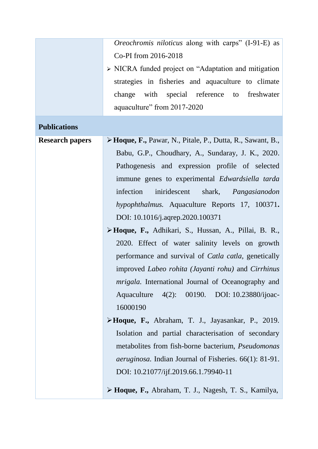|                        | Oreochromis niloticus along with carps" (I-91-E) as                  |
|------------------------|----------------------------------------------------------------------|
|                        | Co-PI from 2016-2018                                                 |
|                        | $\triangleright$ NICRA funded project on "Adaptation and mitigation" |
|                        | strategies in fisheries and aquaculture to climate                   |
|                        | with special reference to freshwater<br>change                       |
|                        | aquaculture" from 2017-2020                                          |
|                        |                                                                      |
| <b>Publications</b>    |                                                                      |
| <b>Research papers</b> | > Hoque, F., Pawar, N., Pitale, P., Dutta, R., Sawant, B.,           |
|                        | Babu, G.P., Choudhary, A., Sundaray, J. K., 2020.                    |
|                        | Pathogenesis and expression profile of selected                      |
|                        | immune genes to experimental Edwardsiella tarda                      |
|                        | infection<br>iniridescent shark, Pangasianodon                       |
|                        | hypophthalmus. Aquaculture Reports 17, 100371.                       |
|                        | DOI: 10.1016/j.aqrep.2020.100371                                     |
|                        | > Hoque, F., Adhikari, S., Hussan, A., Pillai, B. R.,                |
|                        | 2020. Effect of water salinity levels on growth                      |
|                        | performance and survival of <i>Catla catla</i> , genetically         |
|                        | improved Labeo rohita (Jayanti rohu) and Cirrhinus                   |
|                        | <i>mrigala</i> . International Journal of Oceanography and           |
|                        | Aquaculture 4(2): 00190. DOI: 10.23880/ijoac-                        |
|                        | 16000190                                                             |
|                        | $\triangleright$ Hoque, F., Abraham, T. J., Jayasankar, P., 2019.    |
|                        | Isolation and partial characterisation of secondary                  |
|                        | metabolites from fish-borne bacterium, <i>Pseudomonas</i>            |
|                        | <i>aeruginosa</i> . Indian Journal of Fisheries. 66(1): 81-91.       |
|                        | DOI: 10.21077/ijf.2019.66.1.79940-11                                 |
|                        |                                                                      |
|                        | > Hoque, F., Abraham, T. J., Nagesh, T. S., Kamilya,                 |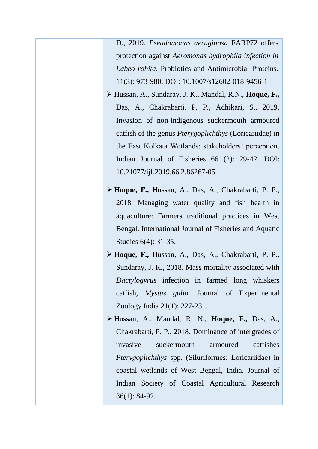D., 2019. *Pseudomonas aeruginosa* FARP72 offers protection against *Aeromonas hydrophila infection in Labeo rohita.* Probiotics and Antimicrobial Proteins. 11(3): 973-980. DOI: 10.1007/s12602-018-9456-1

- Hussan, A., Sundaray, J. K., Mandal, R.N., **Hoque, F.,** Das, A., Chakrabarti, P. P., Adhikari, S., 2019. [Invasion of non-indigenous suckermouth armoured](javascript:void(0))  [catfish of the genus](javascript:void(0)) *Pterygoplichthys* (Loricariidae) in [the East Kolkata Wetlands: stakeholders' perception.](javascript:void(0)) Indian Journal of Fisheries 66 (2): 29-42. DOI: 10.21077/ijf.2019.66.2.86267-05
- **Hoque, F.,** Hussan, A., Das, A., Chakrabarti, P. P., 2018. Managing water quality and fish health in aquaculture: Farmers traditional practices in West Bengal. International Journal of Fisheries and Aquatic Studies 6(4): 31-35.
- **Hoque, F.,** Hussan, A., Das, A., Chakrabarti, P. P., Sundaray, J. K., 2018. Mass mortality associated with *Dactylogyrus* infection in farmed long whiskers catfish, *Mystus gulio.* Journal of Experimental Zoology India 21(1): 227-231.
- Hussan, A., Mandal, R. N., **Hoque, F.,** Das, A., Chakrabarti, P. P., 2018. Dominance of intergrades of invasive suckermouth armoured catfishes *Pterygoplichthys* spp. (Siluriformes: Loricariidae) in coastal wetlands of West Bengal, India. Journal of Indian Society of Coastal Agricultural Research 36(1): 84-92.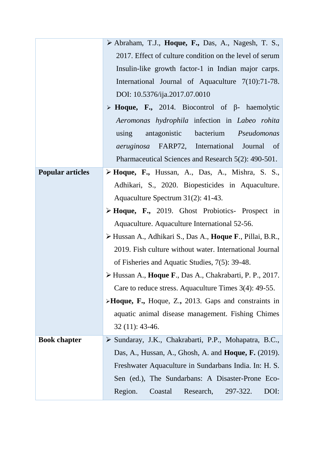|                         | $\triangleright$ Abraham, T.J., Hoque, F., Das, A., Nagesh, T. S.,              |
|-------------------------|---------------------------------------------------------------------------------|
|                         | 2017. Effect of culture condition on the level of serum                         |
|                         | Insulin-like growth factor-1 in Indian major carps.                             |
|                         | International Journal of Aquaculture 7(10):71-78.                               |
|                         | DOI: 10.5376/ija.2017.07.0010                                                   |
|                         | $\triangleright$ <b>Hoque, F.,</b> 2014. Biocontrol of $\beta$ - haemolytic     |
|                         | Aeromonas hydrophila infection in Labeo rohita                                  |
|                         | using antagonistic bacterium <i>Pseudomonas</i>                                 |
|                         | <i>aeruginosa</i> FARP72, International Journal of                              |
|                         | Pharmaceutical Sciences and Research 5(2): 490-501.                             |
| <b>Popular articles</b> | $\triangleright$ Hoque, F., Hussan, A., Das, A., Mishra, S. S.,                 |
|                         | Adhikari, S., 2020. Biopesticides in Aquaculture.                               |
|                         | Aquaculture Spectrum 31(2): 41-43.                                              |
|                         | $\triangleright$ Hoque, F., 2019. Ghost Probiotics- Prospect in                 |
|                         | Aquaculture. Aquaculture International 52-56.                                   |
|                         | > Hussan A., Adhikari S., Das A., <b>Hoque F.</b> , Pillai, B.R.,               |
|                         | 2019. Fish culture without water. International Journal                         |
|                         | of Fisheries and Aquatic Studies, 7(5): 39-48.                                  |
|                         | $\triangleright$ Hussan A., <b>Hoque F.</b> , Das A., Chakrabarti, P. P., 2017. |
|                         | Care to reduce stress. Aquaculture Times $3(4)$ : 49-55.                        |
|                         | $\triangleright$ <b>Hoque, F.,</b> Hoque, Z., 2013. Gaps and constraints in     |
|                         | aquatic animal disease management. Fishing Chimes                               |
|                         | $32(11): 43-46.$                                                                |
| <b>Book chapter</b>     | > Sundaray, J.K., Chakrabarti, P.P., Mohapatra, B.C.,                           |
|                         | Das, A., Hussan, A., Ghosh, A. and <b>Hoque, F.</b> $(2019)$ .                  |
|                         | Freshwater Aquaculture in Sundarbans India. In: H. S.                           |
|                         | Sen (ed.), The Sundarbans: A Disaster-Prone Eco-                                |
|                         | Region.<br>Coastal<br>Research,<br>297-322.<br>DOI:                             |